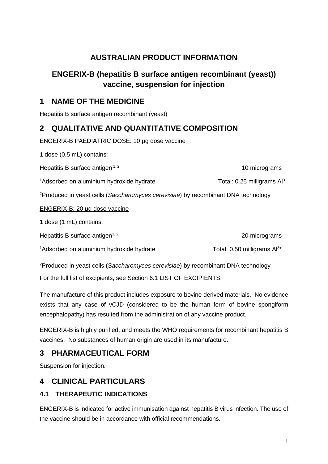# **AUSTRALIAN PRODUCT INFORMATION**

# **ENGERIX-B (hepatitis B surface antigen recombinant (yeast)) vaccine, suspension for injection**

# **1 NAME OF THE MEDICINE**

Hepatitis B surface antigen recombinant (yeast)

# **2 QUALITATIVE AND QUANTITATIVE COMPOSITION**

ENGERIX-B PAEDIATRIC DOSE: 10 µg dose vaccine

1 dose (0.5 mL) contains:

Hepatitis B surface antigen  $1, 2$  10 micrograms

 $1A$ dsorbed on aluminium hydroxide hydrate  $1A$ dsorbed on aluminium hydroxide hydrate

2 Produced in yeast cells (*Saccharomyces cerevisiae*) by recombinant DNA technology

## ENGERIX-B: 20 µg dose vaccine

1 dose (1 mL) contains:

Hepatitis B surface antigen<sup> $1, 2$ </sup> 20 micrograms

 $1A$ dsorbed on aluminium hydroxide hydrate The Total: 0.50 milligrams Al<sup>3+</sup>

2 Produced in yeast cells (*Saccharomyces cerevisiae*) by recombinant DNA technology

For the full list of excipients, see Section 6.1 LIST OF EXCIPIENTS.

The manufacture of this product includes exposure to bovine derived materials. No evidence exists that any case of vCJD (considered to be the human form of bovine spongiform encephalopathy) has resulted from the administration of any vaccine product.

ENGERIX-B is highly purified, and meets the WHO requirements for recombinant hepatitis B vaccines. No substances of human origin are used in its manufacture.

# **3 PHARMACEUTICAL FORM**

Suspension for injection.

# **4 CLINICAL PARTICULARS**

## **4.1 THERAPEUTIC INDICATIONS**

ENGERIX-B is indicated for active immunisation against hepatitis B virus infection. The use of the vaccine should be in accordance with official recommendations.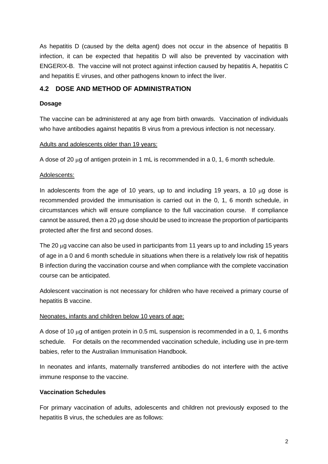As hepatitis D (caused by the delta agent) does not occur in the absence of hepatitis B infection, it can be expected that hepatitis D will also be prevented by vaccination with ENGERIX-B. The vaccine will not protect against infection caused by hepatitis A, hepatitis C and hepatitis E viruses, and other pathogens known to infect the liver.

### **4.2 DOSE AND METHOD OF ADMINISTRATION**

#### **Dosage**

The vaccine can be administered at any age from birth onwards. Vaccination of individuals who have antibodies against hepatitis B virus from a previous infection is not necessary.

Adults and adolescents older than 19 years:

A dose of 20 µg of antigen protein in 1 mL is recommended in a 0, 1, 6 month schedule.

#### Adolescents:

In adolescents from the age of 10 years, up to and including 19 years, a 10 µg dose is recommended provided the immunisation is carried out in the 0, 1, 6 month schedule, in circumstances which will ensure compliance to the full vaccination course. If compliance cannot be assured, then a 20 µg dose should be used to increase the proportion of participants protected after the first and second doses.

The 20 µg vaccine can also be used in participants from 11 years up to and including 15 years of age in a 0 and 6 month schedule in situations when there is a relatively low risk of hepatitis B infection during the vaccination course and when compliance with the complete vaccination course can be anticipated.

Adolescent vaccination is not necessary for children who have received a primary course of hepatitis B vaccine.

#### Neonates, infants and children below 10 years of age:

A dose of 10  $\mu$ g of antigen protein in 0.5 mL suspension is recommended in a 0, 1, 6 months schedule. For details on the recommended vaccination schedule, including use in pre-term babies, refer to the Australian Immunisation Handbook.

In neonates and infants, maternally transferred antibodies do not interfere with the active immune response to the vaccine.

### **Vaccination Schedules**

For primary vaccination of adults, adolescents and children not previously exposed to the hepatitis B virus, the schedules are as follows: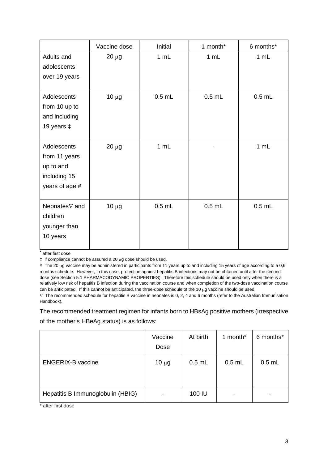|                | Vaccine dose | Initial  | 1 month* | 6 months* |
|----------------|--------------|----------|----------|-----------|
| Adults and     | $20 \mu g$   | 1 mL     | 1 mL     | 1 mL      |
| adolescents    |              |          |          |           |
| over 19 years  |              |          |          |           |
| Adolescents    | $10 \mu g$   | $0.5$ mL | $0.5$ mL | $0.5$ mL  |
| from 10 up to  |              |          |          |           |
| and including  |              |          |          |           |
| 19 years ‡     |              |          |          |           |
|                |              |          |          |           |
| Adolescents    | $20 \mu g$   | 1 mL     |          | 1 mL      |
| from 11 years  |              |          |          |           |
| up to and      |              |          |          |           |
| including 15   |              |          |          |           |
| years of age # |              |          |          |           |
| Neonates∇ and  |              | $0.5$ mL | $0.5$ mL | $0.5$ mL  |
| children       | $10 \mu g$   |          |          |           |
|                |              |          |          |           |
| younger than   |              |          |          |           |
| 10 years       |              |          |          |           |

\* after first dose

‡ if compliance cannot be assured a 20 µg dose should be used.

# The 20 µg vaccine may be administered in participants from 11 years up to and including 15 years of age according to a 0,6 months schedule. However, in this case, protection against hepatitis B infections may not be obtained until after the second dose (see Section 5.1 PHARMACODYNAMIC PROPERTIES). Therefore this schedule should be used only when there is a relatively low risk of hepatitis B infection during the vaccination course and when completion of the two-dose vaccination course can be anticipated. If this cannot be anticipated, the three-dose schedule of the 10 µg vaccine should be used.

∇ The recommended schedule for hepatitis B vaccine in neonates is 0, 2, 4 and 6 months (refer to the Australian Immunisation Handbook).

The recommended treatment regimen for infants born to HBsAg positive mothers (irrespective of the mother's HBeAg status) is as follows:

|                                   | Vaccine<br>Dose | At birth | 1 month*                 | 6 months* |
|-----------------------------------|-----------------|----------|--------------------------|-----------|
| <b>ENGERIX-B vaccine</b>          | $10 \mu g$      | $0.5$ mL | $0.5$ mL                 | $0.5$ mL  |
| Hepatitis B Immunoglobulin (HBIG) |                 | 100 IU   | $\overline{\phantom{0}}$ |           |

\* after first dose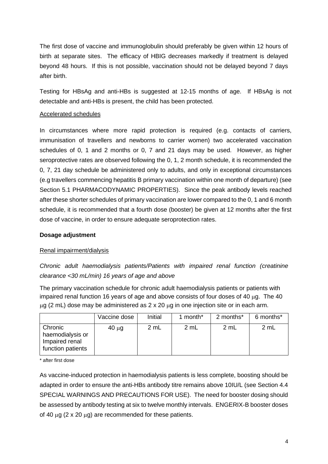The first dose of vaccine and immunoglobulin should preferably be given within 12 hours of birth at separate sites. The efficacy of HBIG decreases markedly if treatment is delayed beyond 48 hours. If this is not possible, vaccination should not be delayed beyond 7 days after birth.

Testing for HBsAg and anti-HBs is suggested at 12-15 months of age. If HBsAg is not detectable and anti-HBs is present, the child has been protected.

### Accelerated schedules

In circumstances where more rapid protection is required (e.g. contacts of carriers, immunisation of travellers and newborns to carrier women) two accelerated vaccination schedules of 0, 1 and 2 months or 0, 7 and 21 days may be used. However, as higher seroprotective rates are observed following the 0, 1, 2 month schedule, it is recommended the 0, 7, 21 day schedule be administered only to adults, and only in exceptional circumstances (e.g travellers commencing hepatitis B primary vaccination within one month of departure) (see Section 5.1 PHARMACODYNAMIC PROPERTIES). Since the peak antibody levels reached after these shorter schedules of primary vaccination are lower compared to the 0, 1 and 6 month schedule, it is recommended that a fourth dose (booster) be given at 12 months after the first dose of vaccine, in order to ensure adequate seroprotection rates.

#### **Dosage adjustment**

### Renal impairment/dialysis

*Chronic adult haemodialysis patients/Patients with impaired renal function (creatinine clearance <30 mL/min) 16 years of age and above*

The primary vaccination schedule for chronic adult haemodialysis patients or patients with impaired renal function 16 years of age and above consists of four doses of 40  $\mu$ g. The 40  $\mu$ g (2 mL) dose may be administered as 2 x 20  $\mu$ g in one injection site or in each arm.

|                                                                    | Vaccine dose | Initial | 1 month <sup>*</sup> | 2 months* | 6 months* |
|--------------------------------------------------------------------|--------------|---------|----------------------|-----------|-----------|
| Chronic<br>haemodialysis or<br>Impaired renal<br>function patients | $40 \mu g$   | 2 mL    | 2 mL                 | 2 mL      | 2 mL      |

\* after first dose

As vaccine-induced protection in haemodialysis patients is less complete, boosting should be adapted in order to ensure the anti-HBs antibody titre remains above 10IU/L (see Section 4.4 SPECIAL WARNINGS AND PRECAUTIONS FOR USE). The need for booster dosing should be assessed by antibody testing at six to twelve monthly intervals. ENGERIX-B booster doses of 40  $\mu$ g (2 x 20  $\mu$ g) are recommended for these patients.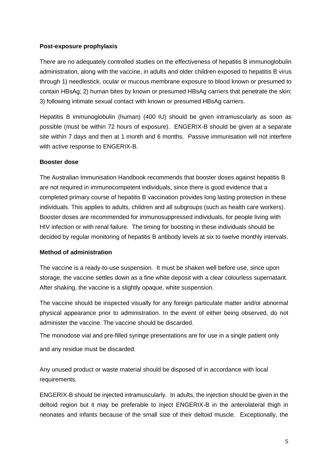#### **Post-exposure prophylaxis**

There are no adequately controlled studies on the effectiveness of hepatitis B immunoglobulin administration, along with the vaccine, in adults and older children exposed to hepatitis B virus through 1) needlestick, ocular or mucous membrane exposure to blood known or presumed to contain HBsAg; 2) human bites by known or presumed HBsAg carriers that penetrate the skin; 3) following intimate sexual contact with known or presumed HBsAg carriers.

Hepatitis B immunoglobulin (human) (400 IU) should be given intramuscularly as soon as possible (must be within 72 hours of exposure). ENGERIX-B should be given at a separate site within 7 days and then at 1 month and 6 months. Passive immunisation will not interfere with active response to ENGERIX-B.

#### **Booster dose**

The Australian Immunisation Handbook recommends that booster doses against hepatitis B are not required in immunocompetent individuals, since there is good evidence that a completed primary course of hepatitis B vaccination provides long lasting protection in these individuals. This applies to adults, children and all subgroups (such as health care workers). Booster doses are recommended for immunosuppressed individuals, for people living with HIV infection or with renal failure. The timing for boosting in these individuals should be decided by regular monitoring of hepatitis B antibody levels at six to twelve monthly intervals.

#### **Method of administration**

The vaccine is a ready-to-use suspension. It must be shaken well before use, since upon storage, the vaccine settles down as a fine white deposit with a clear colourless supernatant. After shaking, the vaccine is a slightly opaque, white suspension.

The vaccine should be inspected visually for any foreign particulate matter and/or abnormal physical appearance prior to administration. In the event of either being observed, do not administer the vaccine. The vaccine should be discarded.

The monodose vial and pre-filled syringe presentations are for use in a single patient only and any residue must be discarded.

Any unused product or waste material should be disposed of in accordance with local requirements.

ENGERIX-B should be injected intramuscularly. In adults, the injection should be given in the deltoid region but it may be preferable to inject ENGERIX-B in the anterolateral thigh in neonates and infants because of the small size of their deltoid muscle. Exceptionally, the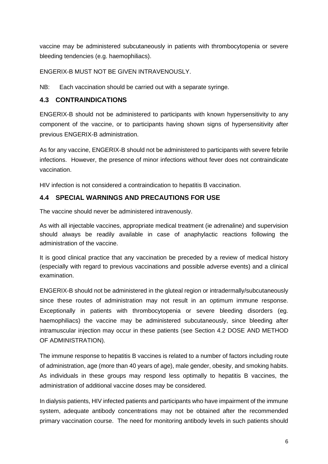vaccine may be administered subcutaneously in patients with thrombocytopenia or severe bleeding tendencies (e.g. haemophiliacs).

ENGERIX-B MUST NOT BE GIVEN INTRAVENOUSLY.

NB: Each vaccination should be carried out with a separate syringe.

## **4.3 CONTRAINDICATIONS**

ENGERIX-B should not be administered to participants with known hypersensitivity to any component of the vaccine, or to participants having shown signs of hypersensitivity after previous ENGERIX-B administration.

As for any vaccine, ENGERIX-B should not be administered to participants with severe febrile infections. However, the presence of minor infections without fever does not contraindicate vaccination.

HIV infection is not considered a contraindication to hepatitis B vaccination.

## **4.4 SPECIAL WARNINGS AND PRECAUTIONS FOR USE**

The vaccine should never be administered intravenously.

As with all injectable vaccines, appropriate medical treatment (ie adrenaline) and supervision should always be readily available in case of anaphylactic reactions following the administration of the vaccine.

It is good clinical practice that any vaccination be preceded by a review of medical history (especially with regard to previous vaccinations and possible adverse events) and a clinical examination.

ENGERIX-B should not be administered in the gluteal region or intradermally/subcutaneously since these routes of administration may not result in an optimum immune response. Exceptionally in patients with thrombocytopenia or severe bleeding disorders (eg. haemophiliacs) the vaccine may be administered subcutaneously, since bleeding after intramuscular injection may occur in these patients (see Section 4.2 DOSE AND METHOD OF ADMINISTRATION).

The immune response to hepatitis B vaccines is related to a number of factors including route of administration, age (more than 40 years of age), male gender, obesity, and smoking habits. As individuals in these groups may respond less optimally to hepatitis B vaccines, the administration of additional vaccine doses may be considered.

In dialysis patients, HIV infected patients and participants who have impairment of the immune system, adequate antibody concentrations may not be obtained after the recommended primary vaccination course. The need for monitoring antibody levels in such patients should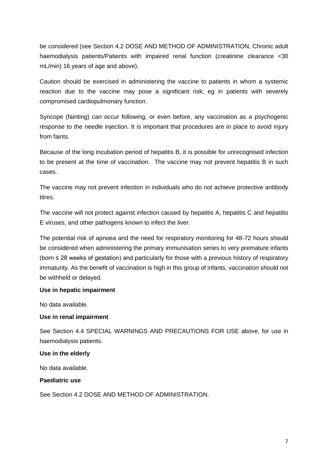be considered (see Section 4.2 DOSE AND METHOD OF ADMINISTRATION, Chronic adult haemodialysis patients/Patients with impaired renal function (creatinine clearance <30 mL/min) 16 years of age and above).

Caution should be exercised in administering the vaccine to patients in whom a systemic reaction due to the vaccine may pose a significant risk; eg in patients with severely compromised cardiopulmonary function.

Syncope (fainting) can occur following, or even before, any vaccination as a psychogenic response to the needle injection. It is important that procedures are in place to avoid injury from faints.

Because of the long incubation period of hepatitis B, it is possible for unrecognised infection to be present at the time of vaccination. The vaccine may not prevent hepatitis B in such cases.

The vaccine may not prevent infection in individuals who do not achieve protective antibody titres.

The vaccine will not protect against infection caused by hepatitis A, hepatitis C and hepatitis E viruses, and other pathogens known to infect the liver.

The potential risk of apnoea and the need for respiratory monitoring for 48-72 hours should be considered when administering the primary immunisation series to very premature infants (born ≤ 28 weeks of gestation) and particularly for those with a previous history of respiratory immaturity. As the benefit of vaccination is high in this group of infants, vaccination should not be withheld or delayed.

#### **Use in hepatic impairment**

No data available.

### **Use in renal impairment**

See Section 4.4 SPECIAL WARNINGS AND PRECAUTIONS FOR USE above, for use in haemodialysis patients.

#### **Use in the elderly**

No data available.

#### **Paediatric use**

See Section 4.2 DOSE AND METHOD OF ADMINISTRATION.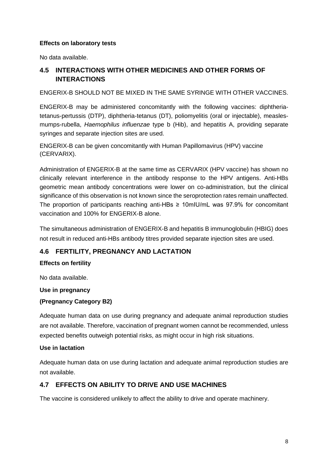#### **Effects on laboratory tests**

No data available.

## **4.5 INTERACTIONS WITH OTHER MEDICINES AND OTHER FORMS OF INTERACTIONS**

#### ENGERIX-B SHOULD NOT BE MIXED IN THE SAME SYRINGE WITH OTHER VACCINES.

ENGERIX-B may be administered concomitantly with the following vaccines: diphtheriatetanus-pertussis (DTP), diphtheria-tetanus (DT), poliomyelitis (oral or injectable), measlesmumps-rubella, *Haemophilus influenzae* type b (Hib), and hepatitis A, providing separate syringes and separate injection sites are used.

ENGERIX-B can be given concomitantly with Human Papillomavirus (HPV) vaccine (CERVARIX).

Administration of ENGERIX-B at the same time as CERVARIX (HPV vaccine) has shown no clinically relevant interference in the antibody response to the HPV antigens. Anti-HBs geometric mean antibody concentrations were lower on co-administration, but the clinical significance of this observation is not known since the seroprotection rates remain unaffected. The proportion of participants reaching anti-HBs  $\geq$  10mIU/mL was 97.9% for concomitant vaccination and 100% for ENGERIX-B alone.

The simultaneous administration of ENGERIX-B and hepatitis B immunoglobulin (HBIG) does not result in reduced anti-HBs antibody titres provided separate injection sites are used.

## **4.6 FERTILITY, PREGNANCY AND LACTATION**

### **Effects on fertility**

No data available.

#### **Use in pregnancy**

### **(Pregnancy Category B2)**

Adequate human data on use during pregnancy and adequate animal reproduction studies are not available. Therefore, vaccination of pregnant women cannot be recommended, unless expected benefits outweigh potential risks, as might occur in high risk situations.

#### **Use in lactation**

Adequate human data on use during lactation and adequate animal reproduction studies are not available.

### **4.7 EFFECTS ON ABILITY TO DRIVE AND USE MACHINES**

The vaccine is considered unlikely to affect the ability to drive and operate machinery.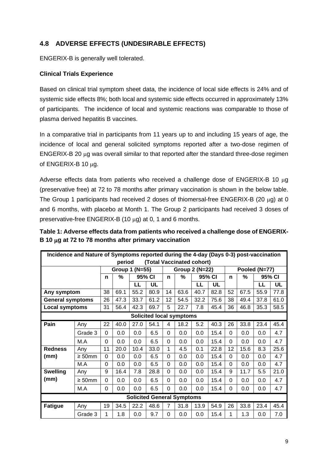## **4.8 ADVERSE EFFECTS (UNDESIRABLE EFFECTS)**

ENGERIX-B is generally well tolerated.

### **Clinical Trials Experience**

Based on clinical trial symptom sheet data, the incidence of local side effects is 24% and of systemic side effects 8%; both local and systemic side effects occurred in approximately 13% of participants. The incidence of local and systemic reactions was comparable to those of plasma derived hepatitis B vaccines.

In a comparative trial in participants from 11 years up to and including 15 years of age, the incidence of local and general solicited symptoms reported after a two-dose regimen of ENGERIX-B 20 µg was overall similar to that reported after the standard three-dose regimen of ENGERIX-B 10 µg.

Adverse effects data from patients who received a challenge dose of ENGERIX-B 10 µg (preservative free) at 72 to 78 months after primary vaccination is shown in the below table. The Group 1 participants had received 2 doses of thiomersal-free ENGERIX-B (20  $\mu$ g) at 0 and 6 months, with placebo at Month 1. The Group 2 participants had received 3 doses of preservative-free ENGERIX-B (10  $\mu$ g) at 0, 1 and 6 months.

**Table 1: Adverse effects data from patients who received a challenge dose of ENGERIX-B 10** µ**g at 72 to 78 months after primary vaccination**

|                                 | Incidence and Nature of Symptoms reported during the 4-day (Days 0-3) post-vaccination |          |                |        |                                   |                |      |                |      |          |               |      |           |
|---------------------------------|----------------------------------------------------------------------------------------|----------|----------------|--------|-----------------------------------|----------------|------|----------------|------|----------|---------------|------|-----------|
|                                 | (Total Vaccinated cohort)<br>period                                                    |          |                |        |                                   |                |      |                |      |          |               |      |           |
|                                 |                                                                                        |          | Group 1 (N=55) |        |                                   |                |      | Group 2 (N=22) |      |          | Pooled (N=77) |      |           |
|                                 |                                                                                        |          | %              | 95% CI |                                   | $\mathbf n$    | %    | 95% CI         |      | n        | %             |      | 95% CI    |
|                                 |                                                                                        |          |                | LL     | UL                                |                |      | LL             | UL   |          |               | LL   | <b>UL</b> |
| Any symptom                     |                                                                                        | 38       | 69.1           | 55.2   | 80.9                              | 14             | 63.6 | 40.7           | 82.8 | 52       | 67.5          | 55.9 | 77.8      |
| <b>General symptoms</b>         |                                                                                        | 26       | 47.3           | 33.7   | 61.2                              | 12             | 54.5 | 32.2           | 75.6 | 38       | 49.4          | 37.8 | 61.0      |
| <b>Local symptoms</b>           |                                                                                        | 31       | 56.4           | 42.3   | 69.7                              | 5              | 22.7 | 7.8            | 45.4 | 36       | 46.8          | 35.3 | 58.5      |
| <b>Solicited local symptoms</b> |                                                                                        |          |                |        |                                   |                |      |                |      |          |               |      |           |
| Pain                            | Any                                                                                    | 22       | 40.0           | 27.0   | 54.1                              | 4              | 18.2 | 5.2            | 40.3 | 26       | 33.8          | 23.4 | 45.4      |
|                                 | Grade 3                                                                                | $\Omega$ | 0.0            | 0.0    | 6.5                               | $\Omega$       | 0.0  | 0.0            | 15.4 | 0        | 0.0           | 0.0  | 4.7       |
|                                 | M.A                                                                                    | $\Omega$ | 0.0            | 0.0    | 6.5                               | $\Omega$       | 0.0  | 0.0            | 15.4 | $\Omega$ | 0.0           | 0.0  | 4.7       |
| <b>Redness</b>                  | Any                                                                                    | 11       | 20.0           | 10.4   | 33.0                              | 1              | 4.5  | 0.1            | 22.8 | 12       | 15.6          | 8.3  | 25.6      |
| (mm)                            | $\geq 50$ mm                                                                           | $\Omega$ | 0.0            | 0.0    | 6.5                               | $\Omega$       | 0.0  | 0.0            | 15.4 | 0        | 0.0           | 0.0  | 4.7       |
|                                 | M.A                                                                                    | $\Omega$ | 0.0            | 0.0    | 6.5                               | $\Omega$       | 0.0  | 0.0            | 15.4 | $\Omega$ | 0.0           | 0.0  | 4.7       |
| <b>Swelling</b>                 | Any                                                                                    | 9        | 16.4           | 7.8    | 28.8                              | $\Omega$       | 0.0  | 0.0            | 15.4 | 9        | 11.7          | 5.5  | 21.0      |
| (mm)                            | $\geq 50$ mm                                                                           | 0        | 0.0            | 0.0    | 6.5                               | $\Omega$       | 0.0  | 0.0            | 15.4 | 0        | 0.0           | 0.0  | 4.7       |
|                                 | M.A                                                                                    | 0        | 0.0            | 0.0    | 6.5                               | $\Omega$       | 0.0  | 0.0            | 15.4 | 0        | 0.0           | 0.0  | 4.7       |
|                                 |                                                                                        |          |                |        | <b>Solicited General Symptoms</b> |                |      |                |      |          |               |      |           |
| <b>Fatigue</b>                  | Anv                                                                                    | 19       | 34.5           | 22.2   | 48.6                              | $\overline{7}$ | 31.8 | 13.9           | 54.9 | 26       | 33.8          | 23.4 | 45.4      |
|                                 | Grade 3                                                                                | 1        | 1.8            | 0.0    | 9.7                               | $\Omega$       | 0.0  | 0.0            | 15.4 | 1        | 1.3           | 0.0  | 7.0       |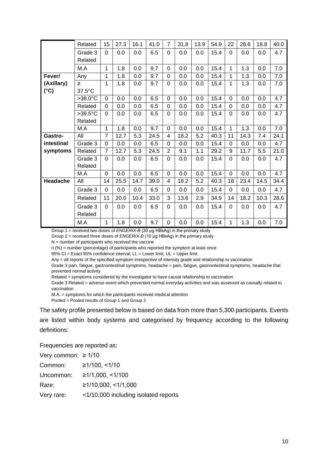|               | Related           | 15             | 27.3 | 16.1 | 41.0 | $\overline{7}$ | 31.8 | 13.9 | 54.9 | 22           | 28.6 | 18.8 | 40.0 |
|---------------|-------------------|----------------|------|------|------|----------------|------|------|------|--------------|------|------|------|
|               | Grade 3           | $\Omega$       | 0.0  | 0.0  | 6.5  | $\Omega$       | 0.0  | 0.0  | 15.4 | $\Omega$     | 0.0  | 0.0  | 4.7  |
|               | Related           |                |      |      |      |                |      |      |      |              |      |      |      |
|               | M.A               | 1              | 1.8  |      |      | $\Omega$       |      |      |      | 1            | 1.3  |      |      |
|               |                   |                |      | 0.0  | 9.7  |                | 0.0  | 0.0  | 15.4 |              |      | 0.0  | 7.0  |
| Fever/        | Any               | 1              | 1.8  | 0.0  | 9.7  | $\overline{0}$ | 0.0  | 0.0  | 15.4 | $\mathbf{1}$ | 1.3  | 0.0  | 7.0  |
| (Axillary)    | ≥                 | 1              | 1.8  | 0.0  | 9.7  | $\Omega$       | 0.0  | 0.0  | 15.4 | 1            | 1.3  | 0.0  | 7.0  |
| $(^{\circ}C)$ | 37.5°C            |                |      |      |      |                |      |      |      |              |      |      |      |
|               | $>38.0^{\circ}$ C | $\Omega$       | 0.0  | 0.0  | 6.5  | $\mathbf 0$    | 0.0  | 0.0  | 15.4 | $\Omega$     | 0.0  | 0.0  | 4.7  |
|               | Related           | $\Omega$       | 0.0  | 0.0  | 6.5  | $\Omega$       | 0.0  | 0.0  | 15.4 | 0            | 0.0  | 0.0  | 4.7  |
|               | $>39.5^{\circ}$ C | $\Omega$       | 0.0  | 0.0  | 6.5  | 0              | 0.0  | 0.0  | 15.4 | 0            | 0.0  | 0.0  | 4.7  |
|               | Related           |                |      |      |      |                |      |      |      |              |      |      |      |
|               | M.A               | 1              | 1.8  | 0.0  | 9.7  | 0              | 0.0  | 0.0  | 15.4 | $\mathbf 1$  | 1.3  | 0.0  | 7.0  |
| Gastro-       | All               | $\overline{7}$ | 12.7 | 5.3  | 24.5 | 4              | 18.2 | 5.2  | 40.3 | 11           | 14.3 | 7.4  | 24.1 |
| intestinal    | Grade 3           | $\Omega$       | 0.0  | 0.0  | 6.5  | $\Omega$       | 0.0  | 0.0  | 15.4 | 0            | 0.0  | 0.0  | 4.7  |
| symptoms      | Related           | $\overline{7}$ | 12.7 | 5.3  | 24.5 | $\overline{2}$ | 9.1  | 1.1  | 29.2 | 9            | 11.7 | 5.5  | 21.0 |
|               | Grade 3           | $\Omega$       | 0.0  | 0.0  | 6.5  | $\Omega$       | 0.0  | 0.0  | 15.4 | $\Omega$     | 0.0  | 0.0  | 4.7  |
|               | Related           |                |      |      |      |                |      |      |      |              |      |      |      |
|               | M.A               | $\Omega$       | 0.0  | 0.0  | 6.5  | 0              | 0.0  | 0.0  | 15.4 | $\Omega$     | 0.0  | 0.0  | 4.7  |
| Headache      | All               | 14             | 25.5 | 14.7 | 39.0 | 4              | 18.2 | 5.2  | 40.3 | 18           | 23.4 | 14.5 | 34.4 |
|               | Grade 3           | $\Omega$       | 0.0  | 0.0  | 6.5  | 0              | 0.0  | 0.0  | 15.4 | $\Omega$     | 0.0  | 0.0  | 4.7  |
|               | Related           | 11             | 20.0 | 10.4 | 33.0 | 3              | 13.6 | 2.9  | 34.9 | 14           | 18.2 | 10.3 | 28.6 |
|               | Grade 3           | $\Omega$       | 0.0  | 0.0  | 6.5  | $\Omega$       | 0.0  | 0.0  | 15.4 | $\Omega$     | 0.0  | 0.0  | 4.7  |
|               | Related           |                |      |      |      |                |      |      |      |              |      |      |      |
|               | M.A               | 1              | 1.8  | 0.0  | 9.7  | $\mathbf 0$    | 0.0  | 0.0  | 15.4 | 1            | 1.3  | 0.0  | 7.0  |

Group 1 = received two doses of *ENGERIX-B* (20 μg HBsAg) in the primary study

Group 2 = received three doses of *ENGERIX-B* (10 μg HBsAg) in the primary study

 $N =$  number of participants who received the vaccine

n (%) = number (percentage) of participants who reported the symptom at least once

95% CI = Exact 95% confidence interval; LL = Lower limit, UL = Upper limit

Any = all reports of the specified symptom irrespective of intensity grade and relationship to vaccination

Grade 3 pain, fatigue, gastrointestinal symptoms, headache = pain, fatigue, gastrointestinal symptoms, headache that prevented normal activity

Related = symptoms considered by the investigator to have causal relationship to vaccination

Grade 3 Related = adverse event which prevented normal everyday activities and was assessed as causally related to vaccination

M.A. = symptoms for which the participants received medical attention

Pooled = Pooled results of Group 1 and Group 2

The safety profile presented below is based on data from more than 5,300 participants. Events are listed within body systems and categorised by frequency according to the following definitions:

Frequencies are reported as:

| Very common: $\geq 1/10$ |                                      |
|--------------------------|--------------------------------------|
| Common:                  | ≥1/100, ≤1/10                        |
| Uncommon:                | ≥1/1,000, ≤1/100                     |
| Rare:                    | ≥1/10,000, ≤1/1,000                  |
| Very rare:               | <1/10,000 including isolated reports |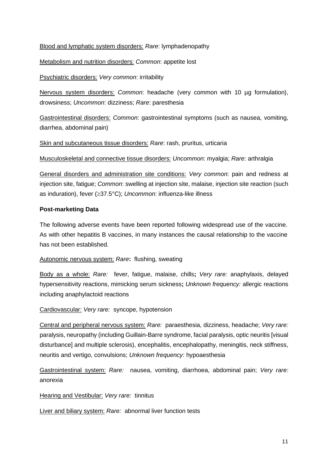Blood and lymphatic system disorders: *Rare*: lymphadenopathy

Metabolism and nutrition disorders: *Common*: appetite lost

Psychiatric disorders: *Very common*: irritability

Nervous system disorders: *Common*: headache (very common with 10 µg formulation), drowsiness; *Uncommon*: dizziness; *Rare*: paresthesia

Gastrointestinal disorders: *Common*: gastrointestinal symptoms (such as nausea, vomiting, diarrhea, abdominal pain)

Skin and subcutaneous tissue disorders: *Rare*: rash, pruritus, urticaria

Musculoskeletal and connective tissue disorders: *Uncommon*: myalgia; *Rare*: arthralgia

General disorders and administration site conditions: *Very common*: pain and redness at injection site, fatigue; *Common*: swelling at injection site, malaise, injection site reaction (such as induration), fever (≥37.5°C); *Uncommon*: influenza-like illness

### **Post-marketing Data**

The following adverse events have been reported following widespread use of the vaccine. As with other hepatitis B vaccines, in many instances the causal relationship to the vaccine has not been established.

Autonomic nervous system: *Rare***:**flushing, sweating

Body as a whole: *Rare:* fever, fatigue, malaise, chills**;** *Very rare:* anaphylaxis, delayed hypersensitivity reactions, mimicking serum sickness**;** *Unknown frequency:* allergic reactions including anaphylactoid reactions

Cardiovascular: *Very rare:* syncope, hypotension

Central and peripheral nervous system: *Rare:* paraesthesia, dizziness, headache; *Very rare:* paralysis, neuropathy (including Guillain-Barre syndrome, facial paralysis, optic neuritis [visual disturbance] and multiple sclerosis), encephalitis, encephalopathy, meningitis, neck stiffness, neuritis and vertigo, convulsions; *Unknown frequency:* hypoaesthesia

Gastrointestinal system: *Rare:* nausea, vomiting, diarrhoea, abdominal pain; *Very rare:* anorexia

Hearing and Vestibular: *Very rare:* tinnitus

Liver and biliary system: *Rare:* abnormal liver function tests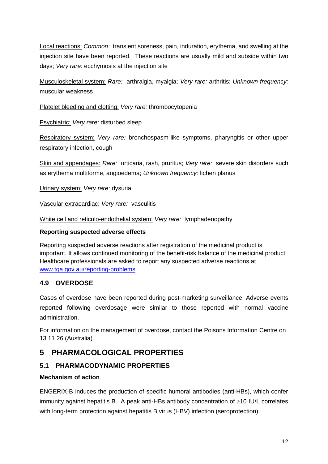Local reactions: *Common:* transient soreness, pain, induration, erythema, and swelling at the injection site have been reported. These reactions are usually mild and subside within two days; *Very rare:* ecchymosis at the injection site

Musculoskeletal system: *Rare:* arthralgia, myalgia; *Very rare:* arthritis; *Unknown frequency:* muscular weakness

Platelet bleeding and clotting: *Very rare:* thrombocytopenia

Psychiatric: *Very rare:* disturbed sleep

Respiratory system: *Very rare:* bronchospasm-like symptoms, pharyngitis or other upper respiratory infection, cough

Skin and appendages: *Rare:*urticaria, rash, pruritus; *Very rare:* severe skin disorders such as erythema multiforme, angioedema; *Unknown frequency:* lichen planus

Urinary system: *Very rare:* dysuria

Vascular extracardiac: *Very rare:* vasculitis

White cell and reticulo-endothelial system: *Very rare:* lymphadenopathy

#### **Reporting suspected adverse effects**

Reporting suspected adverse reactions after registration of the medicinal product is important. It allows continued monitoring of the benefit-risk balance of the medicinal product. Healthcare professionals are asked to report any suspected adverse reactions at [www.tga.gov.au/reporting-problems.](http://www.tga.gov.au/reporting-problems)

## **4.9 OVERDOSE**

Cases of overdose have been reported during post-marketing surveillance. Adverse events reported following overdosage were similar to those reported with normal vaccine administration.

For information on the management of overdose, contact the Poisons Information Centre on 13 11 26 (Australia).

# **5 PHARMACOLOGICAL PROPERTIES**

## **5.1 PHARMACODYNAMIC PROPERTIES**

### **Mechanism of action**

ENGERIX-B induces the production of specific humoral antibodies (anti-HBs), which confer immunity against hepatitis B. A peak anti-HBs antibody concentration of ≥10 IU/L correlates with long-term protection against hepatitis B virus (HBV) infection (seroprotection).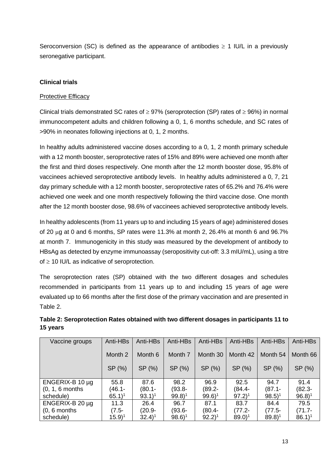Seroconversion (SC) is defined as the appearance of antibodies  $\geq 1$  IU/L in a previously seronegative participant.

### **Clinical trials**

### Protective Efficacy

Clinical trials demonstrated SC rates of  $\geq$  97% (seroprotection (SP) rates of  $\geq$  96%) in normal immunocompetent adults and children following a 0, 1, 6 months schedule, and SC rates of >90% in neonates following injections at 0, 1, 2 months.

In healthy adults administered vaccine doses according to a 0, 1, 2 month primary schedule with a 12 month booster, seroprotective rates of 15% and 89% were achieved one month after the first and third doses respectively. One month after the 12 month booster dose, 95.8% of vaccinees achieved seroprotective antibody levels. In healthy adults administered a 0, 7, 21 day primary schedule with a 12 month booster, seroprotective rates of 65.2% and 76.4% were achieved one week and one month respectively following the third vaccine dose. One month after the 12 month booster dose, 98.6% of vaccinees achieved seroprotective antibody levels.

In healthy adolescents (from 11 years up to and including 15 years of age) administered doses of 20  $\mu$ g at 0 and 6 months, SP rates were 11.3% at month 2, 26.4% at month 6 and 96.7% at month 7. Immunogenicity in this study was measured by the development of antibody to HBsAg as detected by enzyme immunoassay (seropositivity cut-off: 3.3 mIU/mL), using a titre of  $\geq$  10 IU/L as indicative of seroprotection.

The seroprotection rates (SP) obtained with the two different dosages and schedules recommended in participants from 11 years up to and including 15 years of age were evaluated up to 66 months after the first dose of the primary vaccination and are presented in Table 2.

| Vaccine groups       | Anti-HBs            | Anti-HBs            | Anti-HBs            | Anti-HBs            | Anti-HBs            | Anti-HBs            | Anti-HBs            |
|----------------------|---------------------|---------------------|---------------------|---------------------|---------------------|---------------------|---------------------|
|                      |                     |                     |                     |                     |                     |                     |                     |
|                      | Month 2             | Month 6             | Month 7             | Month 30            | Month 42            | Month 54            | Month 66            |
|                      |                     |                     |                     |                     |                     |                     |                     |
|                      | SP (%)              | SP (%)              | SP(%)               | SP (%)              | SP(%)               | SP (%)              | SP (%)              |
|                      |                     |                     |                     |                     |                     |                     |                     |
| ENGERIX-B 10 $\mu$ g | 55.8                | 87.6                | 98.2                | 96.9                | 92.5                | 94.7                | 91.4                |
| $(0, 1, 6$ months    | (46.1-              | $(80.1 -$           | $(93.8 -$           | (89.2-              | (84.4-              | $(87.1 -$           | $(82.3 -$           |
| schedule)            | $65.1$ <sup>1</sup> | $93.1$ <sup>1</sup> | $99.8$ <sup>1</sup> | $99.6$ <sup>1</sup> | $97.2$ <sup>1</sup> | $98.5$ <sup>1</sup> | $96.8$ <sup>1</sup> |
| ENGERIX-B $20 \mu$ g | 11.3                | 26.4                | 96.7                | 87.1                | 83.7                | 84.4                | 79.5                |
| $(0, 6$ months       | $(7.5-$             | $(20.9 -$           | (93.6-              | (80.4-              | $(77.2 -$           | $(77.5 -$           | $(71.7 -$           |
| schedule)            | $(15.9)^1$          | $32.4$ <sup>1</sup> | $98.6$ <sup>1</sup> | $92.2$ <sup>1</sup> | $89.0$ <sup>1</sup> | $89.8$ <sup>1</sup> | $86.1$ <sup>1</sup> |

## **Table 2: Seroprotection Rates obtained with two different dosages in participants 11 to 15 years**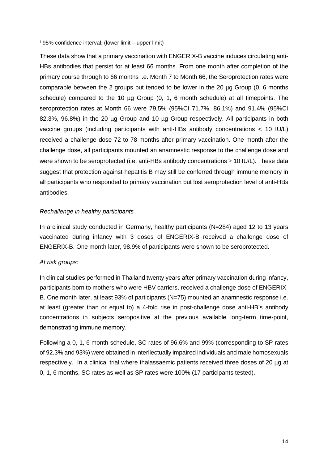1 95% confidence interval, (lower limit – upper limit)

These data show that a primary vaccination with ENGERIX-B vaccine induces circulating anti-HBs antibodies that persist for at least 66 months. From one month after completion of the primary course through to 66 months i.e. Month 7 to Month 66, the Seroprotection rates were comparable between the 2 groups but tended to be lower in the 20 µg Group (0, 6 months schedule) compared to the 10 µg Group (0, 1, 6 month schedule) at all timepoints. The seroprotection rates at Month 66 were 79.5% (95%CI 71.7%, 86.1%) and 91.4% (95%CI 82.3%, 96.8%) in the 20 µg Group and 10 µg Group respectively. All participants in both vaccine groups (including participants with anti-HBs antibody concentrations < 10 IU/L) received a challenge dose 72 to 78 months after primary vaccination. One month after the challenge dose, all participants mounted an anamnestic response to the challenge dose and were shown to be seroprotected (i.e. anti-HBs antibody concentrations  $\geq 10$  IU/L). These data suggest that protection against hepatitis B may still be conferred through immune memory in all participants who responded to primary vaccination but lost seroprotection level of anti-HBs antibodies.

#### *Rechallenge in healthy participants*

In a clinical study conducted in Germany, healthy participants (N=284) aged 12 to 13 years vaccinated during infancy with 3 doses of ENGERIX-B received a challenge dose of ENGERIX-B. One month later, 98.9% of participants were shown to be seroprotected.

#### *At risk groups:*

In clinical studies performed in Thailand twenty years after primary vaccination during infancy, participants born to mothers who were HBV carriers, received a challenge dose of ENGERIX-B. One month later, at least 93% of participants (N=75) mounted an anamnestic response i.e. at least (greater than or equal to) a 4-fold rise in post-challenge dose anti-HB's antibody concentrations in subjects seropositive at the previous available long-term time-point, demonstrating immune memory.

Following a 0, 1, 6 month schedule, SC rates of 96.6% and 99% (corresponding to SP rates of 92.3% and 93%) were obtained in interllectually impaired individuals and male homosexuals respectively. In a clinical trial where thalassaemic patients received three doses of 20 µg at 0, 1, 6 months, SC rates as well as SP rates were 100% (17 participants tested).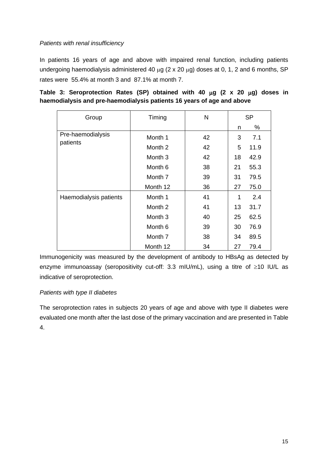#### *Patients with renal insufficiency*

In patients 16 years of age and above with impaired renal function, including patients undergoing haemodialysis administered 40  $\mu$ g (2 x 20  $\mu$ g) doses at 0, 1, 2 and 6 months, SP rates were 55.4% at month 3 and 87.1% at month 7.

| Group                         | Timing             | N  | <b>SP</b> |      |  |
|-------------------------------|--------------------|----|-----------|------|--|
|                               |                    |    | n.        | %    |  |
| Pre-haemodialysis<br>patients | Month 1            | 42 | 3         | 7.1  |  |
|                               | Month 2            | 42 | 5         | 11.9 |  |
|                               | Month <sub>3</sub> | 42 | 18        | 42.9 |  |
|                               | Month <sub>6</sub> | 38 | 21        | 55.3 |  |
|                               | Month 7            | 39 | 31        | 79.5 |  |
|                               | Month 12           | 36 | 27        | 75.0 |  |
| Haemodialysis patients        | Month 1            | 41 | 1         | 2.4  |  |
|                               | Month 2            | 41 | 13        | 31.7 |  |
|                               | Month <sub>3</sub> | 40 | 25        | 62.5 |  |
|                               | Month <sub>6</sub> | 39 | 30        | 76.9 |  |
|                               | Month 7            | 38 | 34        | 89.5 |  |
|                               | Month 12           | 34 | 27        | 79.4 |  |

|  | Table 3: Seroprotection Rates (SP) obtained with 40 $\mu$ g (2 x 20 $\mu$ g) doses in |  |  |  |  |  |  |
|--|---------------------------------------------------------------------------------------|--|--|--|--|--|--|
|  | haemodialysis and pre-haemodialysis patients 16 years of age and above                |  |  |  |  |  |  |

Immunogenicity was measured by the development of antibody to HBsAg as detected by enzyme immunoassay (seropositivity cut-off: 3.3 mIU/mL), using a titre of ≥10 IU/L as indicative of seroprotection.

### *Patients with type II diabetes*

The seroprotection rates in subjects 20 years of age and above with type II diabetes were evaluated one month after the last dose of the primary vaccination and are presented in Table 4.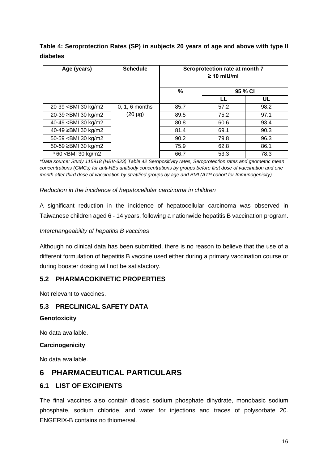**Table 4: Seroprotection Rates (SP) in subjects 20 years of age and above with type II diabetes**

| Age (years)                                                                                                           | <b>Schedule</b>  | Seroprotection rate at month 7<br>$\geq 10$ mlU/ml |         |      |  |  |  |  |
|-----------------------------------------------------------------------------------------------------------------------|------------------|----------------------------------------------------|---------|------|--|--|--|--|
|                                                                                                                       |                  | $\frac{0}{0}$                                      | 95 % CI |      |  |  |  |  |
|                                                                                                                       |                  |                                                    |         | UL   |  |  |  |  |
| 20-39 <bmi 30="" kg="" m2<="" td=""><td><math>0, 1, 6</math> months</td><td>85.7</td><td>57.2</td><td>98.2</td></bmi> | $0, 1, 6$ months | 85.7                                               | 57.2    | 98.2 |  |  |  |  |
| 20-39 ≥BMI 30 kg/m2                                                                                                   | $(20 \mu g)$     | 89.5                                               | 75.2    | 97.1 |  |  |  |  |
| 40-49 <bmi 30="" kg="" m2<="" td=""><td></td><td>80.8</td><td>60.6</td><td>93.4</td></bmi>                            |                  | 80.8                                               | 60.6    | 93.4 |  |  |  |  |
| 40-49 ≥BMI 30 kg/m2                                                                                                   |                  | 81.4                                               | 69.1    | 90.3 |  |  |  |  |
| 50-59 <bmi 30="" kg="" m2<="" td=""><td></td><td>90.2</td><td>79.8</td><td>96.3</td></bmi>                            |                  | 90.2                                               | 79.8    | 96.3 |  |  |  |  |
| 50-59 ≥BMI 30 kg/m2                                                                                                   |                  | 75.9                                               | 62.8    | 86.1 |  |  |  |  |
| <sup>3</sup> 60 < BMI 30 kg/m2                                                                                        |                  | 66.7                                               | 53.3    | 78.3 |  |  |  |  |

*\*Data source: Study 115918 (HBV-323) Table 42 Seropositivity rates, Seroprotection rates and geometric mean concentrations (GMCs) for anti-HBs antibody concentrations by groups before first dose of vaccination and one month after third dose of vaccination by stratified groups by age and BMI (ATP cohort for Immunogenicity)*

### *Reduction in the incidence of hepatocellular carcinoma in children*

A significant reduction in the incidence of hepatocellular carcinoma was observed in Taiwanese children aged 6 - 14 years, following a nationwide hepatitis B vaccination program.

### *Interchangeability of hepatitis B vaccines*

Although no clinical data has been submitted, there is no reason to believe that the use of a different formulation of hepatitis B vaccine used either during a primary vaccination course or during booster dosing will not be satisfactory.

## **5.2 PHARMACOKINETIC PROPERTIES**

Not relevant to vaccines.

## **5.3 PRECLINICAL SAFETY DATA**

**Genotoxicity**

No data available.

### **Carcinogenicity**

No data available.

# **6 PHARMACEUTICAL PARTICULARS**

## **6.1 LIST OF EXCIPIENTS**

The final vaccines also contain dibasic sodium phosphate dihydrate, monobasic sodium phosphate, sodium chloride, and water for injections and traces of polysorbate 20. ENGERIX-B contains no thiomersal.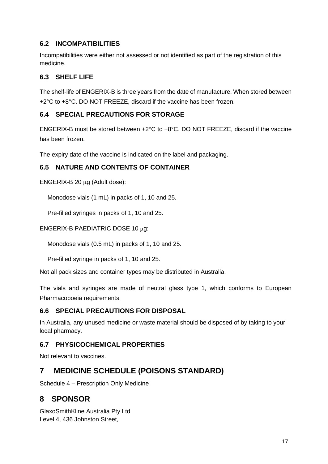## **6.2 INCOMPATIBILITIES**

Incompatibilities were either not assessed or not identified as part of the registration of this medicine.

## **6.3 SHELF LIFE**

The shelf-life of ENGERIX-B is three years from the date of manufacture. When stored between +2°C to +8°C. DO NOT FREEZE, discard if the vaccine has been frozen.

## **6.4 SPECIAL PRECAUTIONS FOR STORAGE**

ENGERIX-B must be stored between +2°C to +8°C. DO NOT FREEZE, discard if the vaccine has been frozen.

The expiry date of the vaccine is indicated on the label and packaging.

## **6.5 NATURE AND CONTENTS OF CONTAINER**

ENGERIX-B 20 µg (Adult dose):

Monodose vials (1 mL) in packs of 1, 10 and 25.

Pre-filled syringes in packs of 1, 10 and 25.

ENGERIX-B PAEDIATRIC DOSE 10 µg:

Monodose vials (0.5 mL) in packs of 1, 10 and 25.

Pre-filled syringe in packs of 1, 10 and 25.

Not all pack sizes and container types may be distributed in Australia.

The vials and syringes are made of neutral glass type 1, which conforms to European Pharmacopoeia requirements.

## **6.6 SPECIAL PRECAUTIONS FOR DISPOSAL**

In Australia, any unused medicine or waste material should be disposed of by taking to your local pharmacy.

## **6.7 PHYSICOCHEMICAL PROPERTIES**

Not relevant to vaccines.

# **7 MEDICINE SCHEDULE (POISONS STANDARD)**

Schedule 4 – Prescription Only Medicine

# **8 SPONSOR**

GlaxoSmithKline Australia Pty Ltd Level 4, 436 Johnston Street,